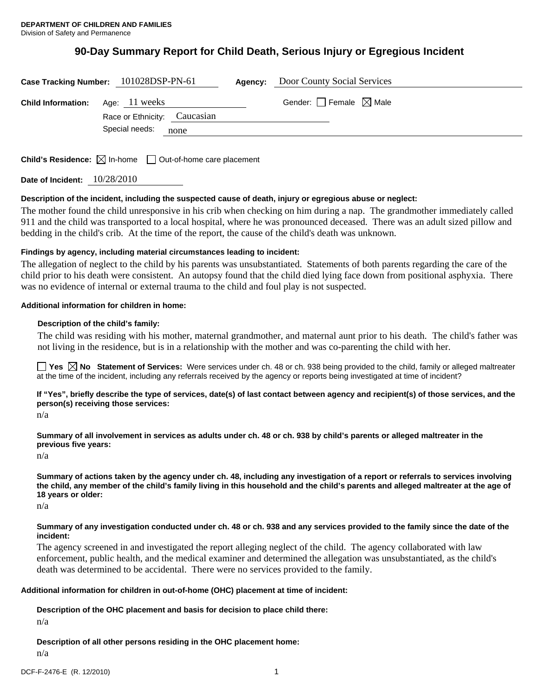# **90-Day Summary Report for Child Death, Serious Injury or Egregious Incident**

|                           | Case Tracking Number: 101028DSP-PN-61                                           | Agency: | Door County Social Services            |  |
|---------------------------|---------------------------------------------------------------------------------|---------|----------------------------------------|--|
| <b>Child Information:</b> | Age: 11 weeks                                                                   |         | Gender: $\Box$ Female $\boxtimes$ Male |  |
|                           | Race or Ethnicity: Caucasian                                                    |         |                                        |  |
|                           | Special needs:<br>none                                                          |         |                                        |  |
|                           |                                                                                 |         |                                        |  |
|                           | <b>Child's Residence:</b> $\boxtimes$ In-home $\Box$ Out-of-home care placement |         |                                        |  |

**Date of Incident:** 10/28/2010

## **Description of the incident, including the suspected cause of death, injury or egregious abuse or neglect:**

The mother found the child unresponsive in his crib when checking on him during a nap. The grandmother immediately called 911 and the child was transported to a local hospital, where he was pronounced deceased. There was an adult sized pillow and bedding in the child's crib. At the time of the report, the cause of the child's death was unknown.

### **Findings by agency, including material circumstances leading to incident:**

The allegation of neglect to the child by his parents was unsubstantiated. Statements of both parents regarding the care of the child prior to his death were consistent. An autopsy found that the child died lying face down from positional asphyxia. There was no evidence of internal or external trauma to the child and foul play is not suspected.

#### **Additional information for children in home:**

## **Description of the child's family:**

 The child was residing with his mother, maternal grandmother, and maternal aunt prior to his death. The child's father was not living in the residence, but is in a relationship with the mother and was co-parenting the child with her.

**Yes**  $\boxtimes$  **No** Statement of Services: Were services under ch. 48 or ch. 938 being provided to the child, family or alleged maltreater at the time of the incident, including any referrals received by the agency or reports being investigated at time of incident?

**If "Yes", briefly describe the type of services, date(s) of last contact between agency and recipient(s) of those services, and the person(s) receiving those services:** 

n/a

**Summary of all involvement in services as adults under ch. 48 or ch. 938 by child's parents or alleged maltreater in the previous five years:** 

n/a

**Summary of actions taken by the agency under ch. 48, including any investigation of a report or referrals to services involving the child, any member of the child's family living in this household and the child's parents and alleged maltreater at the age of 18 years or older:** 

n/a

**Summary of any investigation conducted under ch. 48 or ch. 938 and any services provided to the family since the date of the incident:** 

The agency screened in and investigated the report alleging neglect of the child. The agency collaborated with law enforcement, public health, and the medical examiner and determined the allegation was unsubstantiated, as the child's death was determined to be accidental. There were no services provided to the family.

#### **Additional information for children in out-of-home (OHC) placement at time of incident:**

**Description of the OHC placement and basis for decision to place child there:** 

n/a

**Description of all other persons residing in the OHC placement home:** 

n/a